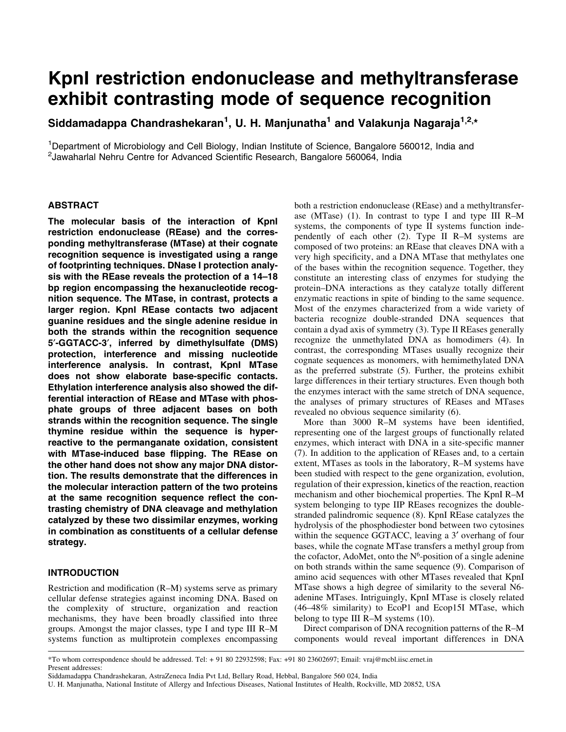# KpnI restriction endonuclease and methyltransferase exhibit contrasting mode of sequence recognition

Siddamadappa Chandrashekaran<sup>1</sup>, U. H. Manjunatha<sup>1</sup> and Valakunja Nagaraja<sup>1,2,</sup>\*

<sup>1</sup>Department of Microbiology and Cell Biology, Indian Institute of Science, Bangalore 560012, India and <sup>2</sup> Jawaharlal Nehru Centre for Advanced Scientific Research, Bangalore 560064, India

# ABSTRACT

The molecular basis of the interaction of KpnI restriction endonuclease (REase) and the corresponding methyltransferase (MTase) at their cognate recognition sequence is investigated using a range of footprinting techniques. DNase I protection analysis with the REase reveals the protection of a 14-18 bp region encompassing the hexanucleotide recognition sequence. The MTase, in contrast, protects a larger region. KpnI REase contacts two adjacent guanine residues and the single adenine residue in both the strands within the recognition sequence 5¢-GGTACC-3¢, inferred by dimethylsulfate (DMS) protection, interference and missing nucleotide interference analysis. In contrast, KpnI MTase does not show elaborate base-specific contacts. Ethylation interference analysis also showed the differential interaction of REase and MTase with phosphate groups of three adjacent bases on both strands within the recognition sequence. The single thymine residue within the sequence is hyperreactive to the permanganate oxidation, consistent with MTase-induced base flipping. The REase on the other hand does not show any major DNA distortion. The results demonstrate that the differences in the molecular interaction pattern of the two proteins at the same recognition sequence reflect the contrasting chemistry of DNA cleavage and methylation catalyzed by these two dissimilar enzymes, working in combination as constituents of a cellular defense strategy.

# INTRODUCTION

Restriction and modification  $(R-M)$  systems serve as primary cellular defense strategies against incoming DNA. Based on the complexity of structure, organization and reaction mechanisms, they have been broadly classified into three groups. Amongst the major classes, type I and type III R-M systems function as multiprotein complexes encompassing both a restriction endonuclease (REase) and a methyltransferase (MTase) (1). In contrast to type I and type III R $-M$ systems, the components of type II systems function independently of each other  $(2)$ . Type II R-M systems are composed of two proteins: an REase that cleaves DNA with a very high specificity, and a DNA MTase that methylates one of the bases within the recognition sequence. Together, they constitute an interesting class of enzymes for studying the protein-DNA interactions as they catalyze totally different enzymatic reactions in spite of binding to the same sequence. Most of the enzymes characterized from a wide variety of bacteria recognize double-stranded DNA sequences that contain a dyad axis of symmetry (3). Type II REases generally recognize the unmethylated DNA as homodimers (4). In contrast, the corresponding MTases usually recognize their cognate sequences as monomers, with hemimethylated DNA as the preferred substrate (5). Further, the proteins exhibit large differences in their tertiary structures. Even though both the enzymes interact with the same stretch of DNA sequence, the analyses of primary structures of REases and MTases revealed no obvious sequence similarity (6).

More than 3000 R-M systems have been identified, representing one of the largest groups of functionally related enzymes, which interact with DNA in a site-specific manner (7). In addition to the application of REases and, to a certain extent, MTases as tools in the laboratory, R-M systems have been studied with respect to the gene organization, evolution, regulation of their expression, kinetics of the reaction, reaction mechanism and other biochemical properties. The KpnI R-M system belonging to type IIP REases recognizes the doublestranded palindromic sequence (8). KpnI REase catalyzes the hydrolysis of the phosphodiester bond between two cytosines within the sequence GGTACC, leaving a 3' overhang of four bases, while the cognate MTase transfers a methyl group from the cofactor, AdoMet, onto the  $N<sup>6</sup>$ -position of a single adenine on both strands within the same sequence (9). Comparison of amino acid sequences with other MTases revealed that KpnI MTase shows a high degree of similarity to the several N6 adenine MTases. Intriguingly, KpnI MTase is closely related  $(46-48\%$  similarity) to EcoP1 and Ecop15I MTase, which belong to type III R $-M$  systems (10).

Direct comparison of DNA recognition patterns of the R–M components would reveal important differences in DNA

<sup>\*</sup>To whom correspondence should be addressed. Tel: + 91 80 22932598; Fax: +91 80 23602697; Email: vraj@mcbl.iisc.ernet.in Present addresses:

Siddamadappa Chandrashekaran, AstraZeneca India Pvt Ltd, Bellary Road, Hebbal, Bangalore 560 024, India

U. H. Manjunatha, National Institute of Allergy and Infectious Diseases, National Institutes of Health, Rockville, MD 20852, USA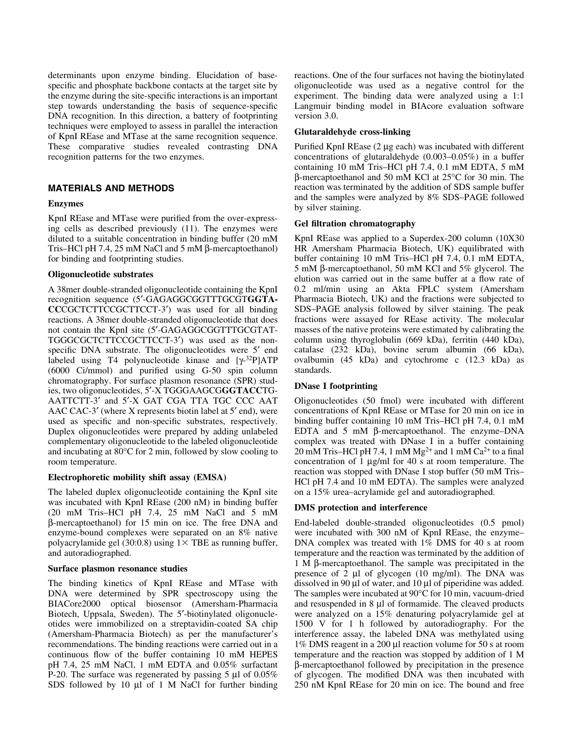determinants upon enzyme binding. Elucidation of basespecific and phosphate backbone contacts at the target site by the enzyme during the site-specific interactions is an important step towards understanding the basis of sequence-specific DNA recognition. In this direction, a battery of footprinting techniques were employed to assess in parallel the interaction of KpnI REase and MTase at the same recognition sequence. These comparative studies revealed contrasting DNA recognition patterns for the two enzymes.

# MATERIALS AND METHODS

## Enzymes

KpnI REase and MTase were purified from the over-expressing cells as described previously (11). The enzymes were diluted to a suitable concentration in binding buffer (20 mM Tris-HCl pH 7.4, 25 mM NaCl and 5 mM  $\beta$ -mercaptoethanol) for binding and footprinting studies.

#### Oligonucleotide substrates

A 38mer double-stranded oligonucleotide containing the KpnI recognition sequence (5'-GAGAGGCGGTTTGCGTGGTA-CCCGCTCTTCCGCTTCCT-3<sup>'</sup>) was used for all binding reactions. A 38mer double-stranded oligonucleotide that does not contain the KpnI site (5'-GAGAGGCGGTTTGCGTAT-TGGGCGCTCTTCCGCTTCCT-3') was used as the nonspecific DNA substrate. The oligonucleotides were 5<sup>'</sup> end labeled using T4 polynucleotide kinase and  $[\gamma^{-32}P]ATP$  $(6000 \text{ Ci/mm})$  and purified using G-50 spin column chromatography. For surface plasmon resonance (SPR) studies, two oligonucleotides, 5'-X TGGGAAGCGGGTACCTG-AATTCTT-3' and 5'-X GAT CGA TTA TGC CCC AAT AAC CAC-3 $^{\prime}$  (where X represents biotin label at 5 $^{\prime}$  end), were used as specific and non-specific substrates, respectively. Duplex oligonucleotides were prepared by adding unlabeled complementary oligonucleotide to the labeled oligonucleotide and incubating at 80°C for 2 min, followed by slow cooling to room temperature.

# Electrophoretic mobility shift assay (EMSA)

The labeled duplex oligonucleotide containing the KpnI site was incubated with KpnI REase (200 nM) in binding buffer (20 mM Tris-HCl pH  $7.4$ , 25 mM NaCl and 5 mM b-mercaptoethanol) for 15 min on ice. The free DNA and enzyme-bound complexes were separated on an 8% native polyacrylamide gel (30:0.8) using  $1\times$  TBE as running buffer, and autoradiographed.

#### Surface plasmon resonance studies

The binding kinetics of KpnI REase and MTase with DNA were determined by SPR spectroscopy using the BIACore2000 optical biosensor (Amersham-Pharmacia Biotech, Uppsala, Sweden). The 5'-biotinylated oligonucleotides were immobilized on a streptavidin-coated SA chip (Amersham-Pharmacia Biotech) as per the manufacturer's recommendations. The binding reactions were carried out in a continuous flow of the buffer containing 10 mM HEPES pH 7.4, 25 mM NaCl, 1 mM EDTA and 0.05% surfactant P-20. The surface was regenerated by passing 5  $\mu$ l of 0.05% SDS followed by 10  $\mu$ l of 1 M NaCl for further binding reactions. One of the four surfaces not having the biotinylated oligonucleotide was used as a negative control for the experiment. The binding data were analyzed using a 1:1 Langmuir binding model in BIAcore evaluation software version 3.0.

## Glutaraldehyde cross-linking

Purified KpnI REase (2 µg each) was incubated with different concentrations of glutaraldehyde  $(0.003-0.05%)$  in a buffer containing 10 mM Tris-HCl pH 7.4, 0.1 mM EDTA, 5 mM b-mercaptoethanol and 50 mM KCl at 25°C for 30 min. The reaction was terminated by the addition of SDS sample buffer and the samples were analyzed by  $8\%$  SDS-PAGE followed by silver staining.

## Gel filtration chromatography

KpnI REase was applied to a Superdex-200 column (10X30 HR Amersham Pharmacia Biotech, UK) equilibrated with buffer containing 10 mM Tris-HCl pH 7.4, 0.1 mM EDTA, 5 mM b-mercaptoethanol, 50 mM KCl and 5% glycerol. The elution was carried out in the same buffer at a flow rate of 0.2 ml/min using an Akta FPLC system (Amersham Pharmacia Biotech, UK) and the fractions were subjected to SDS-PAGE analysis followed by silver staining. The peak fractions were assayed for REase activity. The molecular masses of the native proteins were estimated by calibrating the column using thyroglobulin (669 kDa), ferritin (440 kDa), catalase (232 kDa), bovine serum albumin (66 kDa), ovalbumin (45 kDa) and cytochrome c (12.3 kDa) as standards.

# DNase I footprinting

Oligonucleotides (50 fmol) were incubated with different concentrations of KpnI REase or MTase for 20 min on ice in binding buffer containing 10 mM Tris-HCl pH 7.4, 0.1 mM EDTA and 5 mM  $\beta$ -mercaptoethanol. The enzyme-DNA complex was treated with DNase I in a buffer containing 20 mM Tris-HCl pH 7.4, 1 mM Mg<sup>2+</sup> and 1 mM Ca<sup>2+</sup> to a final concentration of 1  $\mu$ g/ml for 40 s at room temperature. The reaction was stopped with DNase I stop buffer (50 mM Tris-HCl pH 7.4 and 10 mM EDTA). The samples were analyzed on a 15% urea-acrylamide gel and autoradiographed.

# DMS protection and interference

End-labeled double-stranded oligonucleotides (0.5 pmol) were incubated with 300 nM of KpnI REase, the enzyme-DNA complex was treated with 1% DMS for 40 s at room temperature and the reaction was terminated by the addition of 1 M b-mercaptoethanol. The sample was precipitated in the presence of 2  $\mu$ l of glycogen (10 mg/ml). The DNA was dissolved in 90  $\mu$ l of water, and 10  $\mu$ l of piperidine was added. The samples were incubated at 90°C for 10 min, vacuum-dried and resuspended in  $8 \mu$  of formamide. The cleaved products were analyzed on a 15% denaturing polyacrylamide gel at 1500 V for 1 h followed by autoradiography. For the interference assay, the labeled DNA was methylated using  $1\%$  DMS reagent in a 200 µl reaction volume for 50 s at room temperature and the reaction was stopped by addition of 1 M b-mercaptoethanol followed by precipitation in the presence of glycogen. The modified DNA was then incubated with 250 nM KpnI REase for 20 min on ice. The bound and free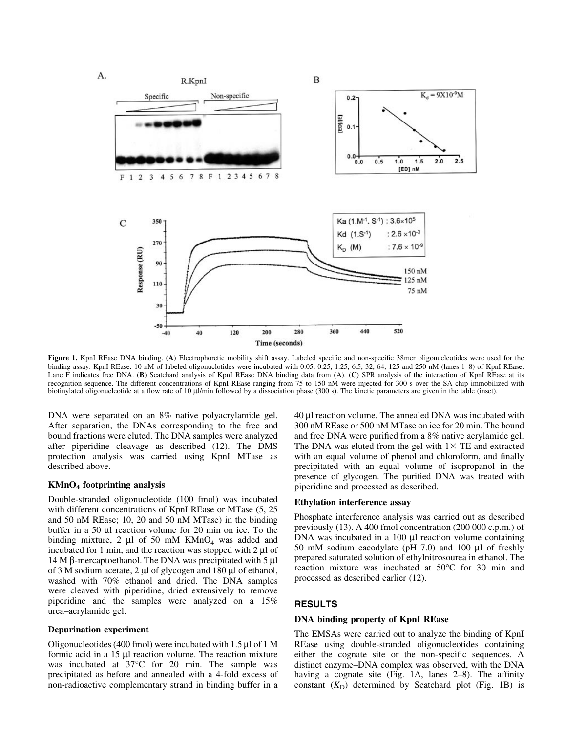

Figure 1. KpnI REase DNA binding. (A) Electrophoretic mobility shift assay. Labeled specific and non-specific 38mer oligonucleotides were used for the binding assay. KpnI REase: 10 nM of labeled oligonuclotides were incubated with 0.05, 0.25, 1.25, 6.5, 32, 64, 125 and 250 nM (lanes 1-8) of KpnI REase. Lane F indicates free DNA. (B) Scatchard analysis of KpnI REase DNA binding data from (A). (C) SPR analysis of the interaction of KpnI REase at its recognition sequence. The different concentrations of KpnI REase ranging from 75 to 150 nM were injected for 300 s over the SA chip immobilized with biotinylated oligonucleotide at a flow rate of 10  $\mu$ l/min followed by a dissociation phase (300 s). The kinetic parameters are given in the table (inset).

DNA were separated on an 8% native polyacrylamide gel. After separation, the DNAs corresponding to the free and bound fractions were eluted. The DNA samples were analyzed after piperidine cleavage as described (12). The DMS protection analysis was carried using KpnI MTase as described above.

### KMnO4 footprinting analysis

Double-stranded oligonucleotide (100 fmol) was incubated with different concentrations of KpnI REase or MTase  $(5, 25)$ and 50 nM REase; 10, 20 and 50 nM MTase) in the binding buffer in a 50  $\mu$ l reaction volume for 20 min on ice. To the binding mixture, 2  $\mu$ l of 50 mM KMnO<sub>4</sub> was added and incubated for 1 min, and the reaction was stopped with  $2 \mu$ l of 14 M β-mercaptoethanol. The DNA was precipitated with 5  $\mu$ l of 3 M sodium acetate,  $2 \mu$ l of glycogen and 180  $\mu$ l of ethanol, washed with 70% ethanol and dried. The DNA samples were cleaved with piperidine, dried extensively to remove piperidine and the samples were analyzed on a 15% urea±acrylamide gel.

#### Depurination experiment

Oligonucleotides (400 fmol) were incubated with  $1.5 \mu$ l of 1 M formic acid in a  $15 \mu l$  reaction volume. The reaction mixture was incubated at 37°C for 20 min. The sample was precipitated as before and annealed with a 4-fold excess of non-radioactive complementary strand in binding buffer in a 40 ml reaction volume. The annealed DNA was incubated with 300 nM REase or 500 nM MTase on ice for 20 min. The bound and free DNA were purified from a  $8\%$  native acrylamide gel. The DNA was eluted from the gel with  $1\times$  TE and extracted with an equal volume of phenol and chloroform, and finally precipitated with an equal volume of isopropanol in the presence of glycogen. The purified DNA was treated with piperidine and processed as described.

#### Ethylation interference assay

Phosphate interference analysis was carried out as described previously (13). A 400 fmol concentration (200 000 c.p.m.) of  $DNA$  was incubated in a 100  $\mu$ l reaction volume containing 50 mM sodium cacodylate ( $pH$  7.0) and 100  $\mu$ l of freshly prepared saturated solution of ethylnitrosourea in ethanol. The reaction mixture was incubated at 50°C for 30 min and processed as described earlier (12).

#### RESULTS

## DNA binding property of KpnI REase

The EMSAs were carried out to analyze the binding of KpnI REase using double-stranded oligonucleotides containing either the cognate site or the non-specific sequences. A distinct enzyme-DNA complex was observed, with the DNA having a cognate site (Fig. 1A, lanes  $2-8$ ). The affinity constant  $(K_D)$  determined by Scatchard plot (Fig. 1B) is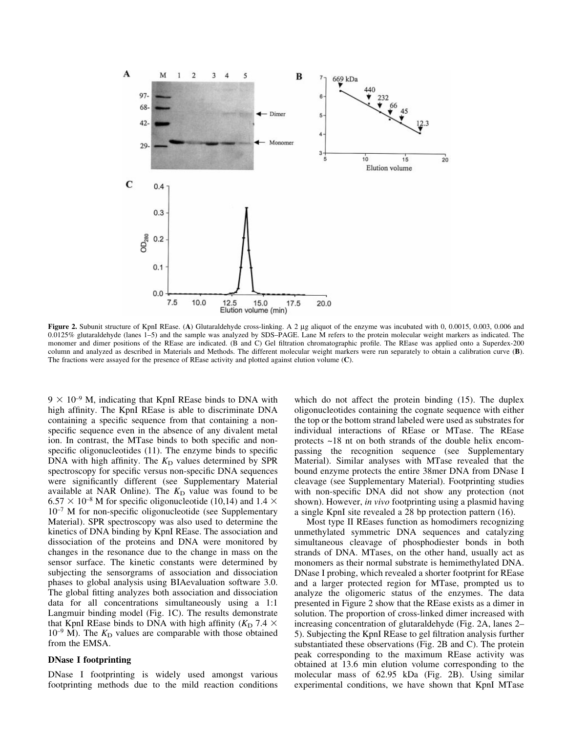

Figure 2. Subunit structure of KpnI REase. (A) Glutaraldehyde cross-linking. A 2 µg aliquot of the enzyme was incubated with 0, 0.0015, 0.003, 0.006 and  $0.0125\%$  glutaraldehyde (lanes 1–5) and the sample was analyzed by SDS-PAGE. Lane M refers to the protein molecular weight markers as indicated. The monomer and dimer positions of the REase are indicated. (B and C) Gel filtration chromatographic profile. The REase was applied onto a Superdex-200 column and analyzed as described in Materials and Methods. The different molecular weight markers were run separately to obtain a calibration curve (B). The fractions were assayed for the presence of REase activity and plotted against elution volume (C).

 $9 \times 10^{-9}$  M, indicating that KpnI REase binds to DNA with high affinity. The KpnI REase is able to discriminate DNA containing a specific sequence from that containing a nonspecific sequence even in the absence of any divalent metal ion. In contrast, the MTase binds to both specific and nonspecific oligonucleotides  $(11)$ . The enzyme binds to specific DNA with high affinity. The  $K<sub>D</sub>$  values determined by SPR spectroscopy for specific versus non-specific DNA sequences were significantly different (see Supplementary Material available at NAR Online). The  $K<sub>D</sub>$  value was found to be  $6.57 \times 10^{-8}$  M for specific oligonucleotide (10,14) and 1.4  $\times$  $10^{-7}$  M for non-specific oligonucleotide (see Supplementary Material). SPR spectroscopy was also used to determine the kinetics of DNA binding by KpnI REase. The association and dissociation of the proteins and DNA were monitored by changes in the resonance due to the change in mass on the sensor surface. The kinetic constants were determined by subjecting the sensorgrams of association and dissociation phases to global analysis using BIAevaluation software 3.0. The global fitting analyzes both association and dissociation data for all concentrations simultaneously using a 1:1 Langmuir binding model (Fig. 1C). The results demonstrate that KpnI REase binds to DNA with high affinity ( $K<sub>D</sub>$  7.4  $\times$  $10^{-9}$  M). The  $K<sub>D</sub>$  values are comparable with those obtained from the EMSA.

### DNase I footprinting

DNase I footprinting is widely used amongst various footprinting methods due to the mild reaction conditions which do not affect the protein binding (15). The duplex oligonucleotides containing the cognate sequence with either the top or the bottom strand labeled were used as substrates for individual interactions of REase or MTase. The REase protects ~18 nt on both strands of the double helix encompassing the recognition sequence (see Supplementary Material). Similar analyses with MTase revealed that the bound enzyme protects the entire 38mer DNA from DNase I cleavage (see Supplementary Material). Footprinting studies with non-specific DNA did not show any protection (not shown). However, *in vivo* footprinting using a plasmid having a single KpnI site revealed a 28 bp protection pattern (16).

Most type II REases function as homodimers recognizing unmethylated symmetric DNA sequences and catalyzing simultaneous cleavage of phosphodiester bonds in both strands of DNA. MTases, on the other hand, usually act as monomers as their normal substrate is hemimethylated DNA. DNase I probing, which revealed a shorter footprint for REase and a larger protected region for MTase, prompted us to analyze the oligomeric status of the enzymes. The data presented in Figure 2 show that the REase exists as a dimer in solution. The proportion of cross-linked dimer increased with increasing concentration of glutaraldehyde (Fig. 2A, lanes 2– 5). Subjecting the KpnI REase to gel filtration analysis further substantiated these observations (Fig. 2B and C). The protein peak corresponding to the maximum REase activity was obtained at 13.6 min elution volume corresponding to the molecular mass of 62.95 kDa (Fig. 2B). Using similar experimental conditions, we have shown that KpnI MTase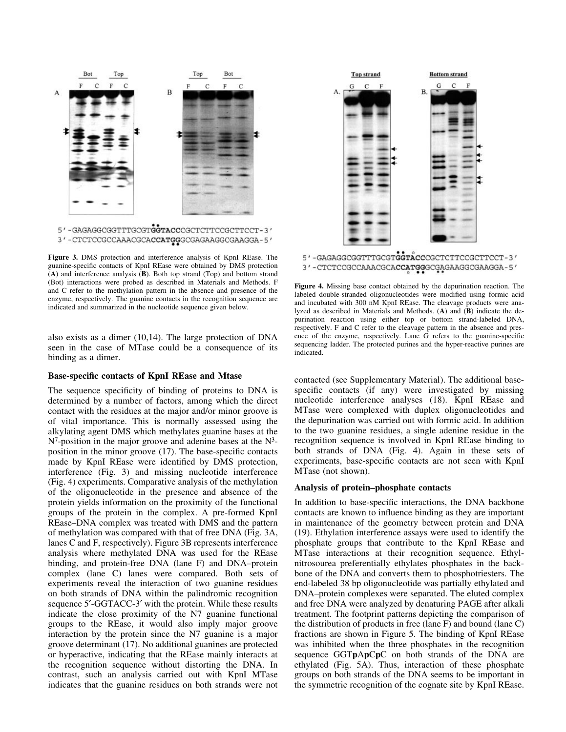

3' - CTCTCCGCCAAACGCACCATGGGCGAGAAGGCGAAGGA-5'

Figure 3. DMS protection and interference analysis of KpnI REase. The guanine-specific contacts of KpnI REase were obtained by DMS protection  $(A)$  and interference analysis  $(B)$ . Both top strand (Top) and bottom strand (Bot) interactions were probed as described in Materials and Methods. F and C refer to the methylation pattern in the absence and presence of the enzyme, respectively. The guanine contacts in the recognition sequence are indicated and summarized in the nucleotide sequence given below.

also exists as a dimer (10,14). The large protection of DNA seen in the case of MTase could be a consequence of its binding as a dimer.

### Base-specific contacts of KpnI REase and Mtase

The sequence specificity of binding of proteins to DNA is determined by a number of factors, among which the direct contact with the residues at the major and/or minor groove is of vital importance. This is normally assessed using the alkylating agent DMS which methylates guanine bases at the  $N^7$ -position in the major groove and adenine bases at the  $N^3$ position in the minor groove  $(17)$ . The base-specific contacts made by KpnI REase were identified by DMS protection, interference (Fig. 3) and missing nucleotide interference (Fig. 4) experiments. Comparative analysis of the methylation of the oligonucleotide in the presence and absence of the protein yields information on the proximity of the functional groups of the protein in the complex. A pre-formed KpnI REase-DNA complex was treated with DMS and the pattern of methylation was compared with that of free DNA (Fig. 3A, lanes C and F, respectively). Figure 3B represents interference analysis where methylated DNA was used for the REase binding, and protein-free DNA (lane F) and DNA-protein complex (lane C) lanes were compared. Both sets of experiments reveal the interaction of two guanine residues on both strands of DNA within the palindromic recognition sequence 5'-GGTACC-3' with the protein. While these results indicate the close proximity of the N7 guanine functional groups to the REase, it would also imply major groove interaction by the protein since the N7 guanine is a major groove determinant (17). No additional guanines are protected or hyperactive, indicating that the REase mainly interacts at the recognition sequence without distorting the DNA. In contrast, such an analysis carried out with KpnI MTase indicates that the guanine residues on both strands were not



5'-GAGAGGCGGTTTGCGTGGTACCCGCTCTTCCGCTTCCT-3' 3'-CTCTCCGCCAAACGCACCATGGGCGAGAAGGCGAAGGA-5'

Figure 4. Missing base contact obtained by the depurination reaction. The labeled double-stranded oligonucleotides were modified using formic acid and incubated with 300 nM KpnI REase. The cleavage products were analyzed as described in Materials and Methods. (A) and (B) indicate the depurination reaction using either top or bottom strand-labeled DNA, respectively. F and C refer to the cleavage pattern in the absence and presence of the enzyme, respectively. Lane G refers to the guanine-specific sequencing ladder. The protected purines and the hyper-reactive purines are indicated.

contacted (see Supplementary Material). The additional basespecific contacts (if any) were investigated by missing nucleotide interference analyses (18). KpnI REase and MTase were complexed with duplex oligonucleotides and the depurination was carried out with formic acid. In addition to the two guanine residues, a single adenine residue in the recognition sequence is involved in KpnI REase binding to both strands of DNA (Fig. 4). Again in these sets of experiments, base-specific contacts are not seen with KpnI MTase (not shown).

#### Analysis of protein-phosphate contacts

In addition to base-specific interactions, the DNA backbone contacts are known to influence binding as they are important in maintenance of the geometry between protein and DNA (19). Ethylation interference assays were used to identify the phosphate groups that contribute to the KpnI REase and MTase interactions at their recognition sequence. Ethylnitrosourea preferentially ethylates phosphates in the backbone of the DNA and converts them to phosphotriesters. The end-labeled 38 bp oligonucleotide was partially ethylated and DNA-protein complexes were separated. The eluted complex and free DNA were analyzed by denaturing PAGE after alkali treatment. The footprint patterns depicting the comparison of the distribution of products in free (lane F) and bound (lane C) fractions are shown in Figure 5. The binding of KpnI REase was inhibited when the three phosphates in the recognition sequence GGTpApCpC on both strands of the DNA are ethylated (Fig. 5A). Thus, interaction of these phosphate groups on both strands of the DNA seems to be important in the symmetric recognition of the cognate site by KpnI REase.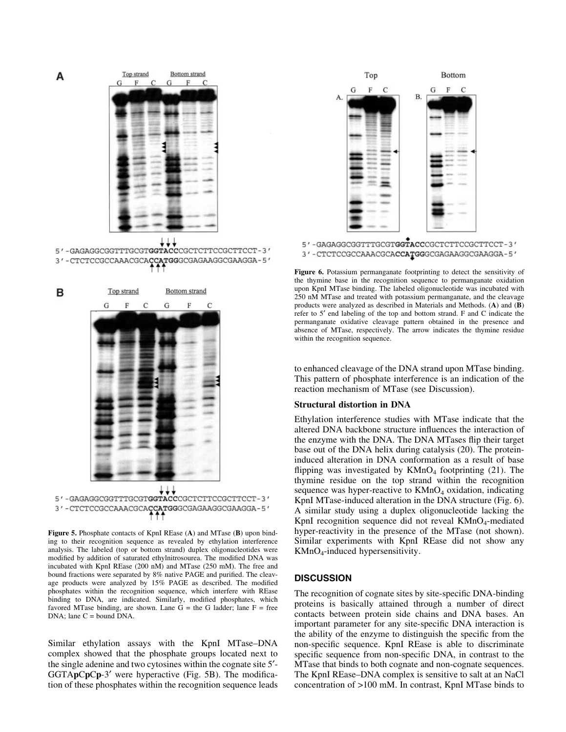



5'-GAGAGGCGGTTTGCGTGGTACCCGCTCTTCCGCTTCCT-3' 3'-CTCTCCGCCAAACGCACCATGGGCGAGAAGGCGAAGGA-5'





Figure 5. Phosphate contacts of KpnI REase (A) and MTase (B) upon binding to their recognition sequence as revealed by ethylation interference analysis. The labeled (top or bottom strand) duplex oligonucleotides were modified by addition of saturated ethylnitrosourea. The modified DNA was incubated with KpnI REase (200 nM) and MTase (250 mM). The free and bound fractions were separated by 8% native PAGE and purified. The cleavage products were analyzed by 15% PAGE as described. The modified phosphates within the recognition sequence, which interfere with REase binding to DNA, are indicated. Similarly, modified phosphates, which favored MTase binding, are shown. Lane  $G =$  the G ladder; lane  $F =$  free DNA; lane C = bound DNA.

Similar ethylation assays with the KpnI MTase-DNA complex showed that the phosphate groups located next to the single adenine and two cytosines within the cognate site 5¢-  $GGTApCpCp-3'$  were hyperactive (Fig. 5B). The modification of these phosphates within the recognition sequence leads



5'-GAGAGGCGGTTTGCGTGGTACCCGCTCTTCCGCTTCCT-3' 3' - CTCTCCGCCAAACGCACCATGGGCGAGAAGGCGAAGGA-5'

Figure 6. Potassium permanganate footprinting to detect the sensitivity of the thymine base in the recognition sequence to permanganate oxidation upon KpnI MTase binding. The labeled oligonucleotide was incubated with 250 nM MTase and treated with potassium permanganate, and the cleavage products were analyzed as described in Materials and Methods.  $(A)$  and  $(B)$ refer to 5' end labeling of the top and bottom strand. F and C indicate the permanganate oxidative cleavage pattern obtained in the presence and absence of MTase, respectively. The arrow indicates the thymine residue within the recognition sequence.

to enhanced cleavage of the DNA strand upon MTase binding. This pattern of phosphate interference is an indication of the reaction mechanism of MTase (see Discussion).

#### Structural distortion in DNA

Ethylation interference studies with MTase indicate that the altered DNA backbone structure influences the interaction of the enzyme with the DNA. The DNA MTases flip their target base out of the DNA helix during catalysis (20). The proteininduced alteration in DNA conformation as a result of base flipping was investigated by  $KMnO<sub>4</sub>$  footprinting (21). The thymine residue on the top strand within the recognition sequence was hyper-reactive to  $KMnO<sub>4</sub>$  oxidation, indicating KpnI MTase-induced alteration in the DNA structure (Fig. 6). A similar study using a duplex oligonucleotide lacking the KpnI recognition sequence did not reveal  $KMnO<sub>4</sub>$ -mediated hyper-reactivity in the presence of the MTase (not shown). Similar experiments with KpnI REase did not show any  $KMnO<sub>4</sub>$ -induced hypersensitivity.

#### **DISCUSSION**

The recognition of cognate sites by site-specific DNA-binding proteins is basically attained through a number of direct contacts between protein side chains and DNA bases. An important parameter for any site-specific DNA interaction is the ability of the enzyme to distinguish the specific from the non-specific sequence. KpnI REase is able to discriminate specific sequence from non-specific DNA, in contrast to the MTase that binds to both cognate and non-cognate sequences. The KpnI REase–DNA complex is sensitive to salt at an NaCl concentration of >100 mM. In contrast, KpnI MTase binds to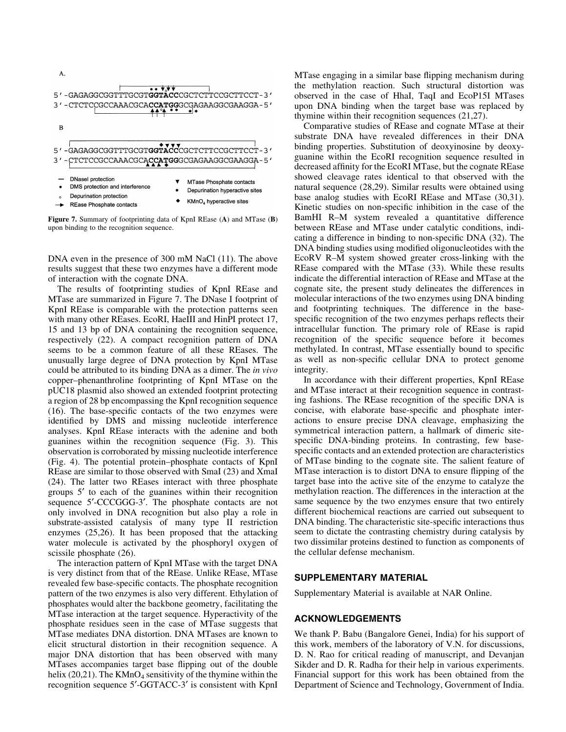

Figure 7. Summary of footprinting data of KpnI REase (A) and MTase (B) upon binding to the recognition sequence.

DNA even in the presence of 300 mM NaCl (11). The above results suggest that these two enzymes have a different mode of interaction with the cognate DNA.

The results of footprinting studies of KpnI REase and MTase are summarized in Figure 7. The DNase I footprint of KpnI REase is comparable with the protection patterns seen with many other REases. EcoRI, HaeIII and HinPI protect 17, 15 and 13 bp of DNA containing the recognition sequence, respectively (22). A compact recognition pattern of DNA seems to be a common feature of all these REases. The unusually large degree of DNA protection by KpnI MTase could be attributed to its binding DNA as a dimer. The in vivo copper-phenanthroline footprinting of KpnI MTase on the pUC18 plasmid also showed an extended footprint protecting a region of 28 bp encompassing the KpnI recognition sequence  $(16)$ . The base-specific contacts of the two enzymes were identified by DMS and missing nucleotide interference analyses. KpnI REase interacts with the adenine and both guanines within the recognition sequence (Fig. 3). This observation is corroborated by missing nucleotide interference (Fig. 4). The potential protein-phosphate contacts of KpnI REase are similar to those observed with SmaI (23) and XmaI (24). The latter two REases interact with three phosphate groups 5¢ to each of the guanines within their recognition sequence 5'-CCCGGG-3'. The phosphate contacts are not only involved in DNA recognition but also play a role in substrate-assisted catalysis of many type II restriction enzymes (25,26). It has been proposed that the attacking water molecule is activated by the phosphoryl oxygen of scissile phosphate (26).

The interaction pattern of KpnI MTase with the target DNA is very distinct from that of the REase. Unlike REase, MTase revealed few base-specific contacts. The phosphate recognition pattern of the two enzymes is also very different. Ethylation of phosphates would alter the backbone geometry, facilitating the MTase interaction at the target sequence. Hyperactivity of the phosphate residues seen in the case of MTase suggests that MTase mediates DNA distortion. DNA MTases are known to elicit structural distortion in their recognition sequence. A major DNA distortion that has been observed with many MTases accompanies target base flipping out of the double helix (20,21). The  $KMnO<sub>4</sub>$  sensitivity of the thymine within the recognition sequence 5'-GGTACC-3' is consistent with KpnI MTase engaging in a similar base flipping mechanism during the methylation reaction. Such structural distortion was observed in the case of HhaI, TaqI and EcoP15I MTases upon DNA binding when the target base was replaced by thymine within their recognition sequences (21,27).

Comparative studies of REase and cognate MTase at their substrate DNA have revealed differences in their DNA binding properties. Substitution of deoxyinosine by deoxyguanine within the EcoRI recognition sequence resulted in decreased affinity for the EcoRI MTase, but the cognate REase showed cleavage rates identical to that observed with the natural sequence (28,29). Similar results were obtained using base analog studies with EcoRI REase and MTase (30,31). Kinetic studies on non-specific inhibition in the case of the BamHI R-M system revealed a quantitative difference between REase and MTase under catalytic conditions, indicating a difference in binding to non-specific DNA (32). The DNA binding studies using modified oligonucleotides with the EcoRV R-M system showed greater cross-linking with the REase compared with the MTase (33). While these results indicate the differential interaction of REase and MTase at the cognate site, the present study delineates the differences in molecular interactions of the two enzymes using DNA binding and footprinting techniques. The difference in the basespecific recognition of the two enzymes perhaps reflects their intracellular function. The primary role of REase is rapid recognition of the specific sequence before it becomes methylated. In contrast, MTase essentially bound to specific as well as non-specific cellular DNA to protect genome integrity.

In accordance with their different properties, KpnI REase and MTase interact at their recognition sequence in contrasting fashions. The REase recognition of the specific DNA is concise, with elaborate base-specific and phosphate interactions to ensure precise DNA cleavage, emphasizing the symmetrical interaction pattern, a hallmark of dimeric sitespecific DNA-binding proteins. In contrasting, few basespecific contacts and an extended protection are characteristics of MTase binding to the cognate site. The salient feature of MTase interaction is to distort DNA to ensure flipping of the target base into the active site of the enzyme to catalyze the methylation reaction. The differences in the interaction at the same sequence by the two enzymes ensure that two entirely different biochemical reactions are carried out subsequent to DNA binding. The characteristic site-specific interactions thus seem to dictate the contrasting chemistry during catalysis by two dissimilar proteins destined to function as components of the cellular defense mechanism.

#### SUPPLEMENTARY MATERIAL

Supplementary Material is available at NAR Online.

#### ACKNOWLEDGEMENTS

We thank P. Babu (Bangalore Genei, India) for his support of this work, members of the laboratory of V.N. for discussions, D. N. Rao for critical reading of manuscript, and Devanjan Sikder and D. R. Radha for their help in various experiments. Financial support for this work has been obtained from the Department of Science and Technology, Government of India.